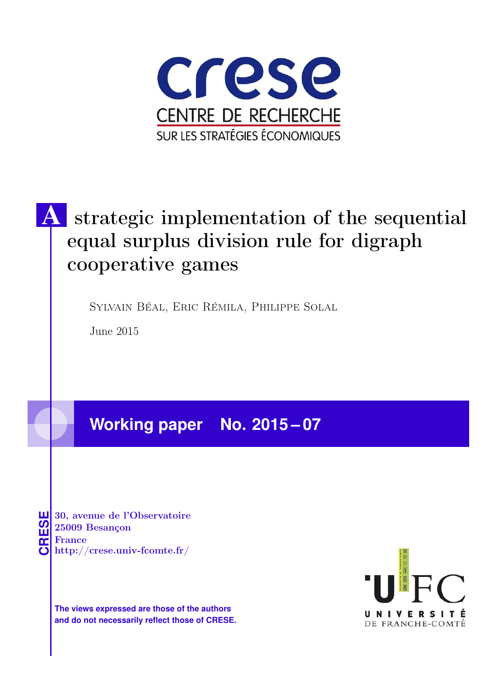

# strategic implementation of the sequential equal surplus division rule for digraph cooperative games

Sylvain Béal, Eric Rémila, Philippe Solal

June 2015

# **Working paper No. 2015 – 07**

**CRESE 30, avenue de l'Observatoire<br>
25009 Besançon<br>
France<br>
<b>CRESE de l'Observatoire**<br>
Http://crese.univ-fcomte.fr/ 25009 Besançon France

**The views expressed are those of the authors and do not necessarily reflect those of CRESE.**

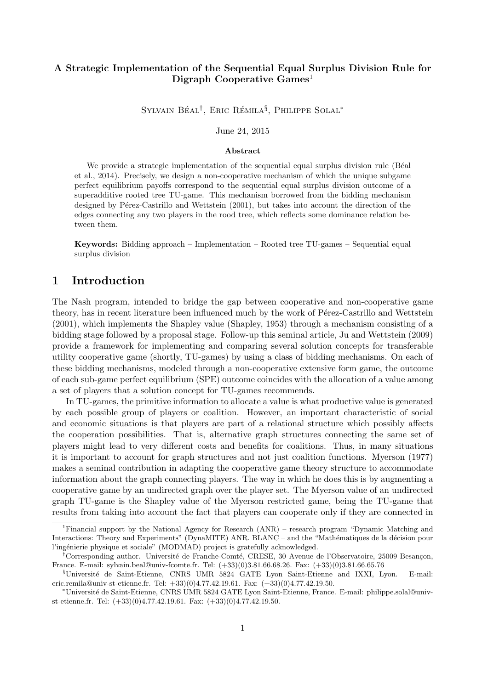# A Strategic Implementation of the Sequential Equal Surplus Division Rule for Digraph Cooperative  $Games<sup>1</sup>$

SYLVAIN BÉAL<sup>†</sup>, ERIC RÉMILA<sup>§</sup>, PHILIPPE SOLAL<sup>\*</sup>

June 24, 2015

#### Abstract

We provide a strategic implementation of the sequential equal surplus division rule (Béal et al., 2014). Precisely, we design a non-cooperative mechanism of which the unique subgame perfect equilibrium payoffs correspond to the sequential equal surplus division outcome of a superadditive rooted tree TU-game. This mechanism borrowed from the bidding mechanism designed by Pérez-Castrillo and Wettstein (2001), but takes into account the direction of the edges connecting any two players in the rood tree, which reflects some dominance relation between them.

Keywords: Bidding approach – Implementation – Rooted tree TU-games – Sequential equal surplus division

# 1 Introduction

The Nash program, intended to bridge the gap between cooperative and non-cooperative game theory, has in recent literature been influenced much by the work of Pérez-Castrillo and Wettstein (2001), which implements the Shapley value (Shapley, 1953) through a mechanism consisting of a bidding stage followed by a proposal stage. Follow-up this seminal article, Ju and Wettstein (2009) provide a framework for implementing and comparing several solution concepts for transferable utility cooperative game (shortly, TU-games) by using a class of bidding mechanisms. On each of these bidding mechanisms, modeled through a non-cooperative extensive form game, the outcome of each sub-game perfect equilibrium (SPE) outcome coincides with the allocation of a value among a set of players that a solution concept for TU-games recommends.

In TU-games, the primitive information to allocate a value is what productive value is generated by each possible group of players or coalition. However, an important characteristic of social and economic situations is that players are part of a relational structure which possibly affects the cooperation possibilities. That is, alternative graph structures connecting the same set of players might lead to very different costs and benefits for coalitions. Thus, in many situations it is important to account for graph structures and not just coalition functions. Myerson (1977) makes a seminal contribution in adapting the cooperative game theory structure to accommodate information about the graph connecting players. The way in which he does this is by augmenting a cooperative game by an undirected graph over the player set. The Myerson value of an undirected graph TU-game is the Shapley value of the Myerson restricted game, being the TU-game that results from taking into account the fact that players can cooperate only if they are connected in

<sup>1</sup>Financial support by the National Agency for Research (ANR) – research program "Dynamic Matching and Interactions: Theory and Experiments" (DynaMITE) ANR. BLANC – and the "Mathématiques de la décision pour l'ingénierie physique et sociale" (MODMAD) project is gratefully acknowledged.

<sup>†</sup>Corresponding author. Université de Franche-Comté, CRESE, 30 Avenue de l'Observatoire, 25009 Besançon, France. E-mail: sylvain.beal@univ-fcomte.fr. Tel: (+33)(0)3.81.66.68.26. Fax: (+33)(0)3.81.66.65.76

<sup>§</sup>Universit´e de Saint-Etienne, CNRS UMR 5824 GATE Lyon Saint-Etienne and IXXI, Lyon. E-mail: eric.remila@univ-st-etienne.fr. Tel: +33)(0)4.77.42.19.61. Fax: (+33)(0)4.77.42.19.50.

<sup>∗</sup>Universit´e de Saint-Etienne, CNRS UMR 5824 GATE Lyon Saint-Etienne, France. E-mail: philippe.solal@univst-etienne.fr. Tel: (+33)(0)4.77.42.19.61. Fax: (+33)(0)4.77.42.19.50.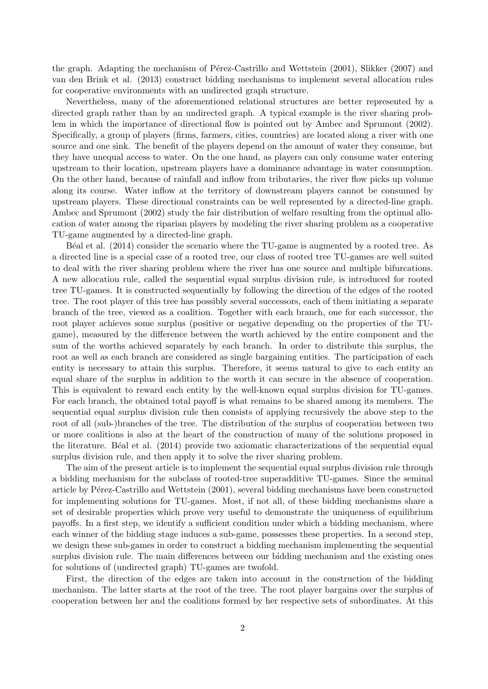the graph. Adapting the mechanism of Pérez-Castrillo and Wettstein  $(2001)$ , Slikker  $(2007)$  and van den Brink et al. (2013) construct bidding mechanisms to implement several allocation rules for cooperative environments with an undirected graph structure.

Nevertheless, many of the aforementioned relational structures are better represented by a directed graph rather than by an undirected graph. A typical example is the river sharing problem in which the importance of directional flow is pointed out by Ambec and Sprumont (2002). Specifically, a group of players (firms, farmers, cities, countries) are located along a river with one source and one sink. The benefit of the players depend on the amount of water they consume, but they have unequal access to water. On the one hand, as players can only consume water entering upstream to their location, upstream players have a dominance advantage in water consumption. On the other hand, because of rainfall and inflow from tributaries, the river flow picks up volume along its course. Water inflow at the territory of downstream players cannot be consumed by upstream players. These directional constraints can be well represented by a directed-line graph. Ambec and Sprumont (2002) study the fair distribution of welfare resulting from the optimal allocation of water among the riparian players by modeling the river sharing problem as a cooperative TU-game augmented by a directed-line graph.

B<sup> $\acute{e}$ al et al. (2014) consider the scenario where the TU-game is augmented by a rooted tree. As</sup> a directed line is a special case of a rooted tree, our class of rooted tree TU-games are well suited to deal with the river sharing problem where the river has one source and multiple bifurcations. A new allocation rule, called the sequential equal surplus division rule, is introduced for rooted tree TU-games. It is constructed sequentially by following the direction of the edges of the rooted tree. The root player of this tree has possibly several successors, each of them initiating a separate branch of the tree, viewed as a coalition. Together with each branch, one for each successor, the root player achieves some surplus (positive or negative depending on the properties of the TUgame), measured by the difference between the worth achieved by the entire component and the sum of the worths achieved separately by each branch. In order to distribute this surplus, the root as well as each branch are considered as single bargaining entities. The participation of each entity is necessary to attain this surplus. Therefore, it seems natural to give to each entity an equal share of the surplus in addition to the worth it can secure in the absence of cooperation. This is equivalent to reward each entity by the well-known equal surplus division for TU-games. For each branch, the obtained total payoff is what remains to be shared among its members. The sequential equal surplus division rule then consists of applying recursively the above step to the root of all (sub-)branches of the tree. The distribution of the surplus of cooperation between two or more coalitions is also at the heart of the construction of many of the solutions proposed in the literature. Béal et al. (2014) provide two axiomatic characterizations of the sequential equal surplus division rule, and then apply it to solve the river sharing problem.

The aim of the present article is to implement the sequential equal surplus division rule through a bidding mechanism for the subclass of rooted-tree superadditive TU-games. Since the seminal article by Pérez-Castrillo and Wettstein (2001), several bidding mechanisms have been constructed for implementing solutions for TU-games. Most, if not all, of these bidding mechanisms share a set of desirable properties which prove very useful to demonstrate the uniqueness of equilibrium payoffs. In a first step, we identify a sufficient condition under which a bidding mechanism, where each winner of the bidding stage induces a sub-game, possesses these properties. In a second step, we design these sub-games in order to construct a bidding mechanism implementing the sequential surplus division rule. The main differences between our bidding mechanism and the existing ones for solutions of (undirected graph) TU-games are twofold.

First, the direction of the edges are taken into account in the construction of the bidding mechanism. The latter starts at the root of the tree. The root player bargains over the surplus of cooperation between her and the coalitions formed by her respective sets of subordinates. At this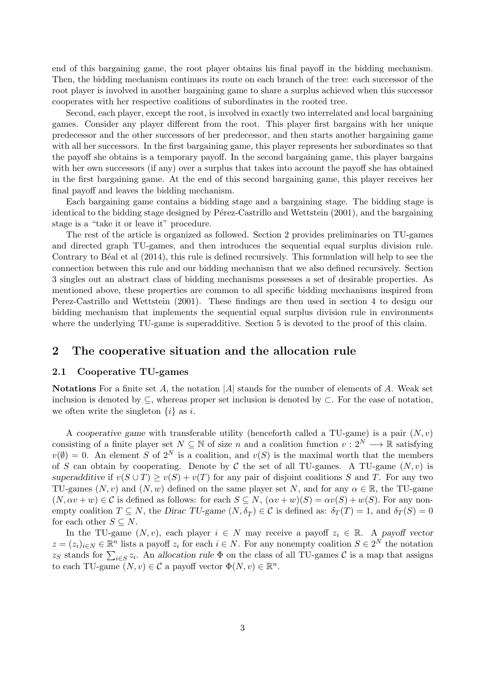end of this bargaining game, the root player obtains his final payoff in the bidding mechanism. Then, the bidding mechanism continues its route on each branch of the tree: each successor of the root player is involved in another bargaining game to share a surplus achieved when this successor cooperates with her respective coalitions of subordinates in the rooted tree.

Second, each player, except the root, is involved in exactly two interrelated and local bargaining games. Consider any player different from the root. This player first bargains with her unique predecessor and the other successors of her predecessor, and then starts another bargaining game with all her successors. In the first bargaining game, this player represents her subordinates so that the payoff she obtains is a temporary payoff. In the second bargaining game, this player bargains with her own successors (if any) over a surplus that takes into account the payoff she has obtained in the first bargaining game. At the end of this second bargaining game, this player receives her final payoff and leaves the bidding mechanism.

Each bargaining game contains a bidding stage and a bargaining stage. The bidding stage is identical to the bidding stage designed by Pérez-Castrillo and Wettstein (2001), and the bargaining stage is a "take it or leave it" procedure.

The rest of the article is organized as followed. Section 2 provides preliminaries on TU-games and directed graph TU-games, and then introduces the sequential equal surplus division rule. Contrary to Béal et al (2014), this rule is defined recursively. This formulation will help to see the connection between this rule and our bidding mechanism that we also defined recursively. Section 3 singles out an abstract class of bidding mechanisms possesses a set of desirable properties. As mentioned above, these properties are common to all specific bidding mechanisms inspired from Perez-Castrillo and Wettstein (2001). These findings are then used in section 4 to design our bidding mechanism that implements the sequential equal surplus division rule in environments where the underlying TU-game is superadditive. Section 5 is devoted to the proof of this claim.

# 2 The cooperative situation and the allocation rule

#### 2.1 Cooperative TU-games

**Notations** For a finite set A, the notation  $|A|$  stands for the number of elements of A. Weak set inclusion is denoted by  $\subseteq$ , whereas proper set inclusion is denoted by  $\subset$ . For the ease of notation, we often write the singleton  $\{i\}$  as i.

A cooperative game with transferable utility (henceforth called a TU-game) is a pair  $(N, v)$ consisting of a finite player set  $N \subseteq \mathbb{N}$  of size n and a coalition function  $v: 2^N \longrightarrow \mathbb{R}$  satisfying  $v(\emptyset) = 0$ . An element S of  $2^N$  is a coalition, and  $v(S)$  is the maximal worth that the members of S can obtain by cooperating. Denote by C the set of all TU-games. A TU-game  $(N, v)$  is superadditive if  $v(S \cup T) \ge v(S) + v(T)$  for any pair of disjoint coalitions S and T. For any two TU-games  $(N, v)$  and  $(N, w)$  defined on the same player set N, and for any  $\alpha \in \mathbb{R}$ , the TU-game  $(N, \alpha v + w) \in \mathcal{C}$  is defined as follows: for each  $S \subseteq N$ ,  $(\alpha v + w)(S) = \alpha v(S) + w(S)$ . For any nonempty coalition  $T \subseteq N$ , the Dirac TU-game  $(N, \delta_T) \in C$  is defined as:  $\delta_T(T) = 1$ , and  $\delta_T(S) = 0$ for each other  $S \subseteq N$ .

In the TU-game  $(N, v)$ , each player  $i \in N$  may receive a payoff  $z_i \in \mathbb{R}$ . A payoff vector  $z = (z_i)_{i \in N} \in \mathbb{R}^n$  lists a payoff  $z_i$  for each  $i \in N$ . For any nonempty coalition  $S \in 2^N$  the notation zs stands for  $\sum_{i \in S} z_i$ . An allocation rule  $\Phi$  on the class of all TU-games  $\mathcal C$  is a map that assigns to each TU-game  $(N, v) \in \mathcal{C}$  a payoff vector  $\Phi(N, v) \in \mathbb{R}^n$ .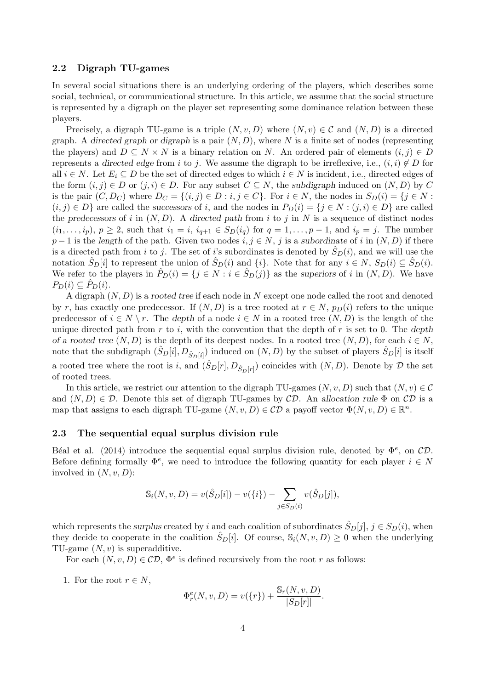#### 2.2 Digraph TU-games

In several social situations there is an underlying ordering of the players, which describes some social, technical, or communicational structure. In this article, we assume that the social structure is represented by a digraph on the player set representing some dominance relation between these players.

Precisely, a digraph TU-game is a triple  $(N, v, D)$  where  $(N, v) \in \mathcal{C}$  and  $(N, D)$  is a directed graph. A directed graph or digraph is a pair  $(N, D)$ , where N is a finite set of nodes (representing the players) and  $D \subseteq N \times N$  is a binary relation on N. An ordered pair of elements  $(i, j) \in D$ represents a directed edge from i to j. We assume the digraph to be irreflexive, i.e.,  $(i, i) \notin D$  for all  $i \in N$ . Let  $E_i \subseteq D$  be the set of directed edges to which  $i \in N$  is incident, i.e., directed edges of the form  $(i, j) \in D$  or  $(j, i) \in D$ . For any subset  $C \subseteq N$ , the subdigraph induced on  $(N, D)$  by C is the pair  $(C, D_C)$  where  $D_C = \{(i, j) \in D : i, j \in C\}$ . For  $i \in N$ , the nodes in  $S_D(i) = \{j \in N : S_D(i) = D\}$ .  $(i, j) \in D$  are called the successors of i, and the nodes in  $P_D(i) = \{j \in N : (j, i) \in D\}$  are called the predecessors of i in  $(N, D)$ . A directed path from i to j in N is a sequence of distinct nodes  $(i_1,\ldots,i_p), p \geq 2$ , such that  $i_1 = i$ ,  $i_{q+1} \in S_D(i_q)$  for  $q = 1,\ldots,p-1$ , and  $i_p = j$ . The number  $p-1$  is the length of the path. Given two nodes  $i, j \in N$ , j is a subordinate of i in  $(N, D)$  if there is a directed path from i to j. The set of i's subordinates is denoted by  $\hat{S}_D(i)$ , and we will use the notation  $\hat{S}_D[i]$  to represent the union of  $\hat{S}_D(i)$  and  $\{i\}$ . Note that for any  $i \in N$ ,  $S_D(i) \subseteq \hat{S}_D(i)$ . We refer to the players in  $\hat{P}_D(i) = \{j \in N : i \in \hat{S}_D(j)\}\$ as the superiors of i in  $(N, D)$ . We have  $P_D(i) \subseteq \hat{P}_D(i)$ .

A digraph  $(N, D)$  is a rooted tree if each node in N except one node called the root and denoted by r, has exactly one predecessor. If  $(N, D)$  is a tree rooted at  $r \in N$ ,  $p_D(i)$  refers to the unique predecessor of  $i \in N \setminus r$ . The depth of a node  $i \in N$  in a rooted tree  $(N, D)$  is the length of the unique directed path from  $r$  to i, with the convention that the depth of  $r$  is set to 0. The depth of a rooted tree  $(N, D)$  is the depth of its deepest nodes. In a rooted tree  $(N, D)$ , for each  $i \in N$ , note that the subdigraph  $(\hat{S}_D[i], D_{\hat{S}_D[i]})$  induced on  $(N, D)$  by the subset of players  $\hat{S}_D[i]$  is itself a rooted tree where the root is i, and  $(\hat{S}_D[r], D_{\hat{S}_D[r]})$  coincides with  $(N, D)$ . Denote by  $D$  the set of rooted trees.

In this article, we restrict our attention to the digraph TU-games  $(N, v, D)$  such that  $(N, v) \in \mathcal{C}$ and  $(N, D) \in \mathcal{D}$ . Denote this set of digraph TU-games by  $\mathcal{CD}$ . An allocation rule  $\Phi$  on  $\mathcal{CD}$  is a map that assigns to each digraph TU-game  $(N, v, D) \in CD$  a payoff vector  $\Phi(N, v, D) \in \mathbb{R}^n$ .

#### 2.3 The sequential equal surplus division rule

Béal et al. (2014) introduce the sequential equal surplus division rule, denoted by  $\Phi^e$ , on  $CD$ . Before defining formally  $\Phi^e$ , we need to introduce the following quantity for each player  $i \in N$ involved in  $(N, v, D)$ :

$$
S_i(N, v, D) = v(\hat{S}_D[i]) - v(\{i\}) - \sum_{j \in S_D(i)} v(\hat{S}_D[j]),
$$

which represents the surplus created by i and each coalition of subordinates  $\hat{S}_D[j], j \in S_D(i)$ , when they decide to cooperate in the coalition  $\hat{S}_D[i]$ . Of course,  $\mathbb{S}_i(N, v, D) \geq 0$  when the underlying TU-game  $(N, v)$  is superadditive.

For each  $(N, v, D) \in CD$ ,  $\Phi^e$  is defined recursively from the root r as follows:

1. For the root  $r \in N$ ,

$$
\Phi_r^e(N, v, D) = v(\{r\}) + \frac{\mathbb{S}_r(N, v, D)}{|S_D[r]|}.
$$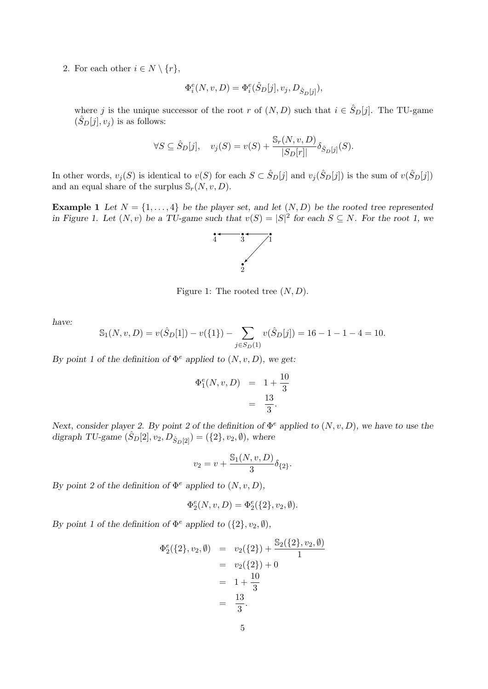2. For each other  $i \in N \setminus \{r\},\$ 

$$
\Phi_i^e(N, v, D) = \Phi_i^e(\hat{S}_D[j], v_j, D_{\hat{S}_D[j]}),
$$

where j is the unique successor of the root r of  $(N, D)$  such that  $i \in \hat{S}_D[j]$ . The TU-game  $(\hat{S}_D[j], v_j)$  is as follows:

$$
\forall S \subseteq \hat{S}_D[j], \quad v_j(S) = v(S) + \frac{\mathbb{S}_r(N, v, D)}{|S_D[r]|} \delta_{\hat{S}_D[j]}(S).
$$

In other words,  $v_j(S)$  is identical to  $v(S)$  for each  $S \subset \hat{S}_D[j]$  and  $v_j(\hat{S}_D[j])$  is the sum of  $v(\hat{S}_D[j])$ and an equal share of the surplus  $\mathcal{S}_r(N, v, D)$ .

**Example 1** Let  $N = \{1, ..., 4\}$  be the player set, and let  $(N, D)$  be the rooted tree represented in Figure 1. Let  $(N, v)$  be a TU-game such that  $v(S) = |S|^2$  for each  $S \subseteq N$ . For the root 1, we



Figure 1: The rooted tree  $(N, D)$ .

have:

$$
S_1(N, v, D) = v(\hat{S}_D[1]) - v(\{1\}) - \sum_{j \in S_D(1)} v(\hat{S}_D[j]) = 16 - 1 - 1 - 4 = 10.
$$

By point 1 of the definition of  $\Phi^e$  applied to  $(N, v, D)$ , we get:

$$
\Phi_1^e(N, v, D) = 1 + \frac{10}{3} \n= \frac{13}{3}.
$$

Next, consider player 2. By point 2 of the definition of  $\Phi^e$  applied to  $(N, v, D)$ , we have to use the digraph TU-game  $(\hat{S}_D[2], v_2, D_{\hat{S}_D[2]}) = (\{2\}, v_2, \emptyset)$ , where

$$
v_2=v+\frac{\mathbb{S}_1(N,v,D)}{3}\delta_{\{2\}}.
$$

By point 2 of the definition of  $\Phi^e$  applied to  $(N, v, D)$ ,

$$
\Phi_2^e(N, v, D) = \Phi_2^e(\{2\}, v_2, \emptyset).
$$

By point 1 of the definition of  $\Phi^e$  applied to  $({2}, v_2, \emptyset)$ ,

$$
\Phi_2^e(\{2\}, v_2, \emptyset) = v_2(\{2\}) + \frac{\mathbb{S}_2(\{2\}, v_2, \emptyset)}{1}
$$
  
=  $v_2(\{2\}) + 0$   
=  $1 + \frac{10}{3}$   
=  $\frac{13}{3}$ .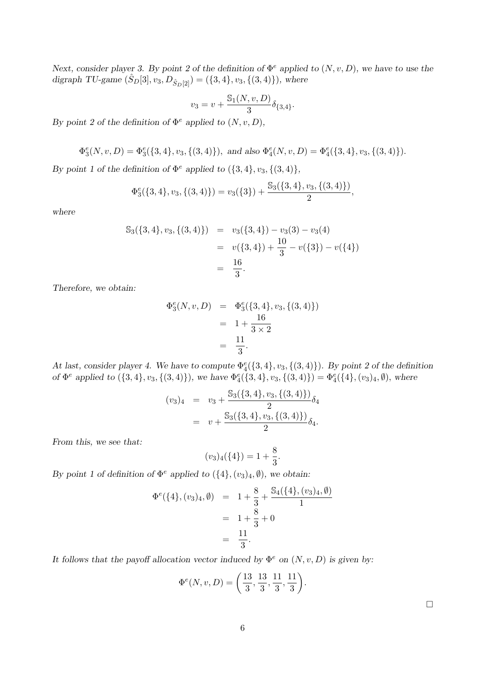Next, consider player 3. By point 2 of the definition of  $\Phi^e$  applied to  $(N, v, D)$ , we have to use the digraph TU-game  $(S_D[3], v_3, D_{\hat{S}_D[2]}) = (\{3, 4\}, v_3, \{(3, 4)\})$ , where

$$
v_3 = v + \frac{\mathbb{S}_1(N,v,D)}{3} \delta_{\{3,4\}}.
$$

By point 2 of the definition of  $\Phi^e$  applied to  $(N, v, D)$ ,

$$
\Phi_3^e(N,v,D)=\Phi_3^e(\{3,4\},v_3,\{(3,4)\}),\ \text{and also}\ \Phi_4^e(N,v,D)=\Phi_4^e(\{3,4\},v_3,\{(3,4)\}).
$$

By point 1 of the definition of  $\Phi^e$  applied to  $({3, 4}, v_3, {(3, 4)}$ ,

$$
\Phi_3^e({3, 4}, v_3, {(3, 4)}) = v_3({3}) + \frac{\mathbb{S}_3({3, 4}, v_3, {(3, 4)})}{2},
$$

where

$$
S_3({3, 4}, v_3, {(3, 4)}) = v_3({3, 4}) - v_3(3) - v_3(4)
$$
  
=  $v({3, 4}) + \frac{10}{3} - v({3}) - v({4})$   
=  $\frac{16}{3}$ .

Therefore, we obtain:

$$
\Phi_3^e(N, v, D) = \Phi_3^e({3, 4}, v_3, {(3, 4)})
$$
  
=  $1 + \frac{16}{3 \times 2}$   
=  $\frac{11}{3}$ .

At last, consider player 4. We have to compute  $\Phi_4^e({3,4}, v_3, {(3,4)})$ . By point 2 of the definition of  $\Phi^e$  applied to  $(\{3,4\}, v_3, \{(3,4)\})$ , we have  $\Phi_4^e(\{3,4\}, v_3, \{(3,4)\}) = \Phi_4^e(\{4\}, (v_3)_4, \emptyset)$ , where

$$
(v_3)_4 = v_3 + \frac{\mathbb{S}_3(\{3,4\}, v_3, \{(3,4)\})}{2} \delta_4
$$
  
=  $v + \frac{\mathbb{S}_3(\{3,4\}, v_3, \{(3,4)\})}{2} \delta_4.$ 

From this, we see that:

$$
(v_3)_4({4}) = 1 + \frac{8}{3}.
$$

By point 1 of definition of  $\Phi^e$  applied to  $({4}, (v_3)_4, \emptyset)$ , we obtain:

$$
\Phi^{e}(\{4\}, (v_3)_4, \emptyset) = 1 + \frac{8}{3} + \frac{\mathbb{S}_4(\{4\}, (v_3)_4, \emptyset)}{1}
$$
  
= 1 + \frac{8}{3} + 0  
= \frac{11}{3}.

It follows that the payoff allocation vector induced by  $\Phi^e$  on  $(N, v, D)$  is given by:

$$
\Phi^{e}(N, v, D) = \left(\frac{13}{3}, \frac{13}{3}, \frac{11}{3}, \frac{11}{3}\right).
$$

 $\Box$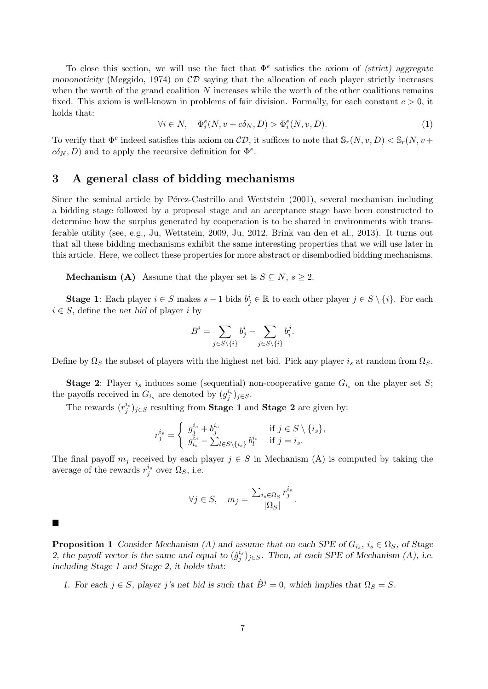To close this section, we will use the fact that  $\Phi^e$  satisfies the axiom of (strict) aggregate mononoticity (Meggido, 1974) on  $CD$  saying that the allocation of each player strictly increases when the worth of the grand coalition  $N$  increases while the worth of the other coalitions remains fixed. This axiom is well-known in problems of fair division. Formally, for each constant  $c > 0$ , it holds that:

$$
\forall i \in N, \quad \Phi_i^e(N, v + c\delta_N, D) > \Phi_i^e(N, v, D). \tag{1}
$$

To verify that  $\Phi^e$  indeed satisfies this axiom on  $CD$ , it suffices to note that  $\mathbb{S}_r(N, v, D) < \mathbb{S}_r(N, v + D)$  $c\delta_N, D$  and to apply the recursive definition for  $\Phi^e$ .

### 3 A general class of bidding mechanisms

Since the seminal article by P $\acute{e}$ rez-Castrillo and Wettstein  $(2001)$ , several mechanism including a bidding stage followed by a proposal stage and an acceptance stage have been constructed to determine how the surplus generated by cooperation is to be shared in environments with transferable utility (see, e.g., Ju, Wettstein, 2009, Ju, 2012, Brink van den et al., 2013). It turns out that all these bidding mechanisms exhibit the same interesting properties that we will use later in this article. Here, we collect these properties for more abstract or disembodied bidding mechanisms.

**Mechanism (A)** Assume that the player set is  $S \subseteq N$ ,  $s \geq 2$ .

**Stage 1:** Each player  $i \in S$  makes  $s - 1$  bids  $b_j^i \in \mathbb{R}$  to each other player  $j \in S \setminus \{i\}$ . For each  $i \in S$ , define the net bid of player i by

$$
B^i = \sum_{j \in S \setminus \{i\}} b_j^i - \sum_{j \in S \setminus \{i\}} b_i^j.
$$

Define by  $\Omega_S$  the subset of players with the highest net bid. Pick any player is at random from  $\Omega_S$ .

**Stage 2:** Player  $i_s$  induces some (sequential) non-cooperative game  $G_{i_s}$  on the player set S; the payoffs received in  $G_{i_s}$  are denoted by  $(g_j^{i_s})_{j\in S}$ .

The rewards  $(r_j^{i_s})_{j\in S}$  resulting from **Stage 1** and **Stage 2** are given by:

$$
r_j^{i_s} = \begin{cases} g_j^{i_s} + b_j^{i_s} & \text{if } j \in S \setminus \{i_s\}, \\ g_{i_s}^{i_s} - \sum_{l \in S \setminus \{i_s\}} b_l^{i_s} & \text{if } j = i_s. \end{cases}
$$

The final payoff  $m_j$  received by each player  $j \in S$  in Mechanism (A) is computed by taking the average of the rewards  $r_j^{i_s}$  over  $\Omega_S$ , i.e.

$$
\forall j \in S, \quad m_j = \frac{\sum_{i_s \in \Omega_S} r_j^{i_s}}{|\Omega_S|}.
$$

#### $\blacksquare$

**Proposition 1** Consider Mechanism (A) and assume that on each SPE of  $G_{i_s}$ ,  $i_s \in \Omega_S$ , of Stage 2, the payoff vector is the same and equal to  $(\hat{g}_j^{i_s})_{j \in S}$ . Then, at each SPE of Mechanism (A), i.e. including Stage 1 and Stage 2, it holds that:

1. For each  $j \in S$ , player j's net bid is such that  $\hat{B}^j = 0$ , which implies that  $\Omega_S = S$ .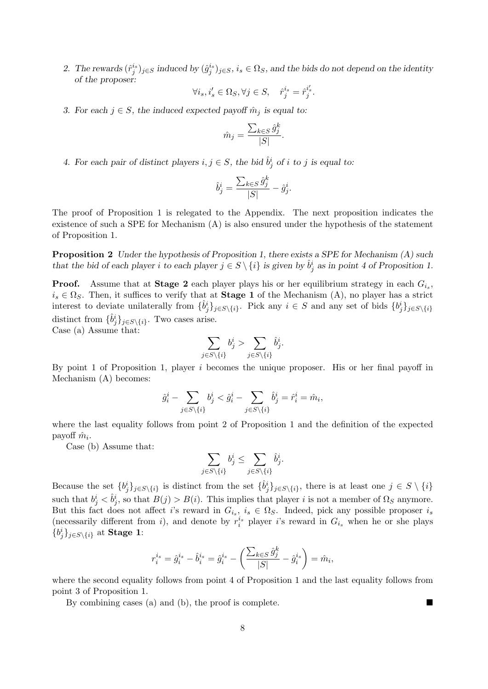2. The rewards  $(\hat{r}_j^{i_s})_{j \in S}$  induced by  $(\hat{g}_j^{i_s})_{j \in S}$ ,  $i_s \in \Omega_S$ , and the bids do not depend on the identity of the proposer:

$$
\forall i_s, i'_s \in \Omega_S, \forall j \in S, \quad \hat{r}_j^{i_s} = \hat{r}_j^{i'_s}.
$$

3. For each  $j \in S$ , the induced expected payoff  $\hat{m}_j$  is equal to:

$$
\hat{m}_j = \frac{\sum_{k \in S} \hat{g}_j^k}{|S|}.
$$

4. For each pair of distinct players  $i, j \in S$ , the bid  $\hat{b}_j^i$  of i to j is equal to:

$$
\hat{b}_j^i = \frac{\sum_{k \in S} \hat{g}_j^k}{|S|} - \hat{g}_j^i.
$$

The proof of Proposition 1 is relegated to the Appendix. The next proposition indicates the existence of such a SPE for Mechanism (A) is also ensured under the hypothesis of the statement of Proposition 1.

**Proposition 2** Under the hypothesis of Proposition 1, there exists a SPE for Mechanism  $(A)$  such that the bid of each player i to each player  $j \in S \setminus \{i\}$  is given by  $\hat{b}_j^i$  as in point 4 of Proposition 1.

**Proof.** Assume that at **Stage 2** each player plays his or her equilibrium strategy in each  $G_{i_s}$ ,  $i_s \in \Omega_S$ . Then, it suffices to verify that at **Stage 1** of the Mechanism (A), no player has a strict interest to deviate unilaterally from  $\{\hat{b}_j^i\}_{j \in S\setminus\{i\}}$ . Pick any  $i \in S$  and any set of bids  $\{b_j^i\}_{j \in S\setminus\{i\}}$ distinct from  $\{\hat{b}_j^i\}_{j \in S \setminus \{i\}}$ . Two cases arise.

Case (a) Assume that:

$$
\sum_{j \in S \setminus \{i\}} b_j^i > \sum_{j \in S \setminus \{i\}} \hat{b}_j^i.
$$

By point 1 of Proposition 1, player  $i$  becomes the unique proposer. His or her final payoff in Mechanism (A) becomes:

$$
\hat{g}_i^i - \sum_{j \in S \setminus \{i\}} b_j^i < \hat{g}_i^i - \sum_{j \in S \setminus \{i\}} \hat{b}_j^i = \hat{r}_i^i = \hat{m}_i,
$$

where the last equality follows from point 2 of Proposition 1 and the definition of the expected payoff  $\hat{m}_i$ .

Case (b) Assume that:

$$
\sum_{j \in S \setminus \{i\}} b_j^i \le \sum_{j \in S \setminus \{i\}} \hat{b}_j^i.
$$

Because the set  $\{b_j^i\}_{j \in S \setminus \{i\}}$  is distinct from the set  $\{\hat{b}_j^i\}_{j \in S \setminus \{i\}}$ , there is at least one  $j \in S \setminus \{i\}$ such that  $b_j^i < \hat{b}_j^i$ , so that  $B(j) > B(i)$ . This implies that player i is not a member of  $\Omega_S$  anymore. But this fact does not affect i's reward in  $G_{i_s}$ ,  $i_s \in \Omega_S$ . Indeed, pick any possible proposer  $i_s$ (necessarily different from i), and denote by  $r_i^{i_s}$  player i's reward in  $G_{i_s}$  when he or she plays  $\{b_j^i\}_{j\in S\setminus\{i\}}$  at **Stage 1**:

$$
r_i^{i_s} = \hat{g}_i^{i_s} - \hat{b}_i^{i_s} = \hat{g}_i^{i_s} - \left(\frac{\sum_{k \in S} \hat{g}_j^k}{|S|} - \hat{g}_i^{i_s}\right) = \hat{m}_i,
$$

where the second equality follows from point 4 of Proposition 1 and the last equality follows from point 3 of Proposition 1.

By combining cases (a) and (b), the proof is complete.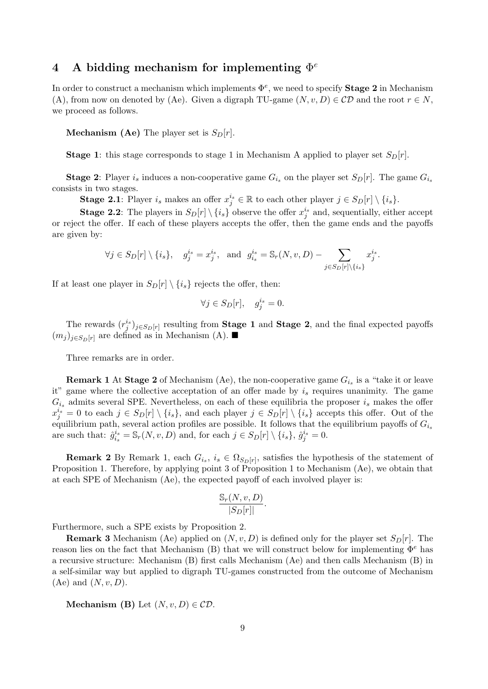# 4 A bidding mechanism for implementing  $\Phi^e$

In order to construct a mechanism which implements  $\Phi^e$ , we need to specify **Stage 2** in Mechanism (A), from now on denoted by (Ae). Given a digraph TU-game  $(N, v, D) \in CD$  and the root  $r \in N$ , we proceed as follows.

**Mechanism (Ae)** The player set is  $S_D[r]$ .

**Stage 1:** this stage corresponds to stage 1 in Mechanism A applied to player set  $S<sub>D</sub>[r]$ .

**Stage 2:** Player is induces a non-cooperative game  $G_{i_s}$  on the player set  $S_D[r]$ . The game  $G_{i_s}$ consists in two stages.

**Stage 2.1**: Player  $i_s$  makes an offer  $x_j^{i_s} \in \mathbb{R}$  to each other player  $j \in S_D[r] \setminus \{i_s\}$ .

**Stage 2.2**: The players in  $S_D[r] \setminus \{i_s\}$  observe the offer  $x_j^{i_s}$  and, sequentially, either accept or reject the offer. If each of these players accepts the offer, then the game ends and the payoffs are given by:

$$
\forall j \in S_D[r] \setminus \{i_s\}, \quad g_j^{i_s} = x_j^{i_s}, \text{ and } g_{i_s}^{i_s} = \mathbb{S}_r(N, v, D) - \sum_{j \in S_D[r] \setminus \{i_s\}} x_j^{i_s}.
$$

If at least one player in  $S_D[r] \setminus \{i_s\}$  rejects the offer, then:

$$
\forall j \in S_D[r], \quad g_j^{i_s} = 0.
$$

The rewards  $(r_j^{i_s})_{j \in S_D[r]}$  resulting from **Stage 1** and **Stage 2**, and the final expected payoffs  $(m_i)_{i \in S_D[r]}$  are defined as in Mechanism (A).

Three remarks are in order.

**Remark 1** At Stage 2 of Mechanism (Ae), the non-cooperative game  $G_{i_s}$  is a "take it or leave it" game where the collective acceptation of an offer made by  $i_s$  requires unanimity. The game  $G_{i_s}$  admits several SPE. Nevertheless, on each of these equilibria the proposer  $i_s$  makes the offer  $x_j^{i_s} = 0$  to each  $j \in S_D[r] \setminus \{i_s\}$ , and each player  $j \in S_D[r] \setminus \{i_s\}$  accepts this offer. Out of the equilibrium path, several action profiles are possible. It follows that the equilibrium payoffs of  $G_{i_s}$ are such that:  $\hat{g}_{i_s}^{i_s}$  $i_s^{i_s} = \mathbb{S}_r(N, v, D)$  and, for each  $j \in S_D[r] \setminus \{i_s\}, \hat{g}_j^{i_s} = 0$ .

**Remark 2** By Remark 1, each  $G_{i_s}$ ,  $i_s \in \Omega_{S_D[r]}$ , satisfies the hypothesis of the statement of Proposition 1. Therefore, by applying point 3 of Proposition 1 to Mechanism (Ae), we obtain that at each SPE of Mechanism (Ae), the expected payoff of each involved player is:

$$
\frac{\mathbb{S}_r(N, v, D)}{|S_D[r]|}.
$$

Furthermore, such a SPE exists by Proposition 2.

**Remark 3** Mechanism (Ae) applied on  $(N, v, D)$  is defined only for the player set  $S<sub>D</sub>[r]$ . The reason lies on the fact that Mechanism (B) that we will construct below for implementing  $\Phi^e$  has a recursive structure: Mechanism (B) first calls Mechanism (Ae) and then calls Mechanism (B) in a self-similar way but applied to digraph TU-games constructed from the outcome of Mechanism  $(Ae)$  and  $(N, v, D)$ .

Mechanism (B) Let  $(N, v, D) \in CD$ .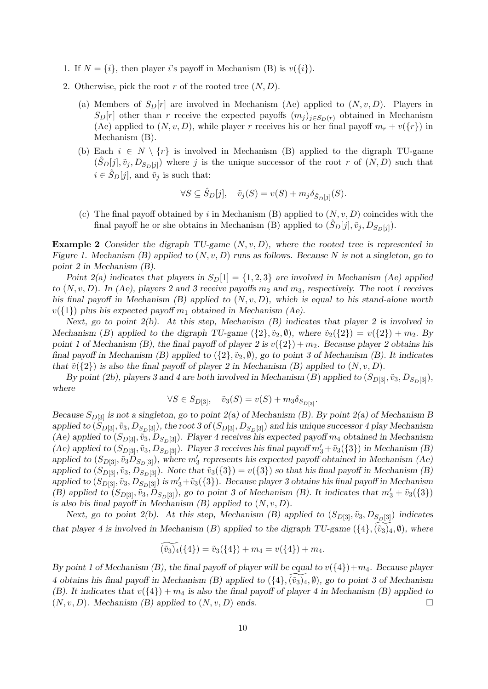- 1. If  $N = \{i\}$ , then player i's payoff in Mechanism (B) is  $v(\{i\})$ .
- 2. Otherwise, pick the root r of the rooted tree  $(N, D)$ .
	- (a) Members of  $S<sub>D</sub>[r]$  are involved in Mechanism (Ae) applied to  $(N, v, D)$ . Players in  $S_D[r]$  other than r receive the expected payoffs  $(m_j)_{j\in S_D(r)}$  obtained in Mechanism (Ae) applied to  $(N, v, D)$ , while player r receives his or her final payoff  $m_r + v({r})$  in Mechanism (B).
	- (b) Each  $i \in N \setminus \{r\}$  is involved in Mechanism (B) applied to the digraph TU-game  $(\hat{S}_D[j], \tilde{v}_j, D_{S_D[j]})$  where j is the unique successor of the root r of  $(N, D)$  such that  $i \in \hat{S}_D[j]$ , and  $\tilde{v}_i$  is such that:

$$
\forall S \subseteq \hat{S}_D[j], \quad \tilde{v}_j(S) = v(S) + m_j \delta_{\hat{S}_D[j]}(S).
$$

(c) The final payoff obtained by i in Mechanism  $(B)$  applied to  $(N, v, D)$  coincides with the final payoff he or she obtains in Mechanism (B) applied to  $(\hat{S}_D[j], \tilde{v}_j, D_{S_D[j]})$ .

**Example 2** Consider the digraph TU-game  $(N, v, D)$ , where the rooted tree is represented in Figure 1. Mechanism (B) applied to  $(N, v, D)$  runs as follows. Because N is not a singleton, go to point 2 in Mechanism (B).

Point 2(a) indicates that players in  $S_D[1] = \{1, 2, 3\}$  are involved in Mechanism (Ae) applied to  $(N, v, D)$ . In (Ae), players 2 and 3 receive payoffs  $m_2$  and  $m_3$ , respectively. The root 1 receives his final payoff in Mechanism  $(B)$  applied to  $(N, v, D)$ , which is equal to his stand-alone worth  $v({1})$  plus his expected payoff  $m_1$  obtained in Mechanism (Ae).

Next, go to point  $2(b)$ . At this step, Mechanism  $(B)$  indicates that player 2 is involved in Mechanism (B) applied to the digraph TU-game  $({2}, \tilde{v}_2, \emptyset)$ , where  $\tilde{v}_2({2}) = v({2}) + m_2$ . By point 1 of Mechanism (B), the final payoff of player 2 is  $v({2}) + m_2$ . Because player 2 obtains his final payoff in Mechanism (B) applied to  $({2}, \tilde{v}_2, \emptyset)$ , go to point 3 of Mechanism (B). It indicates that  $\tilde{v}(\{2\})$  is also the final payoff of player 2 in Mechanism (B) applied to  $(N, v, D)$ .

By point (2b), players 3 and 4 are both involved in Mechanism (B) applied to  $(S_{D[3]}, \tilde{v}_3, D_{S_D[3]})$ , where

$$
\forall S \in S_{D[3]}, \quad \tilde{v}_3(S) = v(S) + m_3 \delta_{S_{D[3]}}.
$$

Because  $S_{D[3]}$  is not a singleton, go to point  $2(a)$  of Mechanism (B). By point  $2(a)$  of Mechanism B applied to  $(S_{D[3]}, \tilde{v}_3, D_{S_D[3]})$ , the root 3 of  $(S_{D[3]}, D_{S_D[3]})$  and his unique successor 4 play Mechanism (Ae) applied to  $(S_{D[3]}, \tilde{v}_3, D_{S_D[3]})$ . Player 4 receives his expected payoff  $m_4$  obtained in Mechanism (Ae) applied to  $(S_{D[3]}, \tilde{v}_3, D_{S_D[3]})$ . Player 3 receives his final payoff  $m'_3 + \tilde{v}_3(\{3\})$  in Mechanism (B) applied to  $(S_{D[3]}, \tilde{v}_3D_{S_D[3]})$ , where  $m'_3$  represents his expected payoff obtained in Mechanism (Ae) applied to  $(S_{D[3]}, \tilde{v}_3, D_{S_D[3]})$ . Note that  $\tilde{v}_3({3}) = v({3})$  so that his final payoff in Mechanism (B) applied to  $(S_{D[3]}, \tilde{v}_3, D_{S_D[3]})$  is  $m'_3+\tilde{v}_3(\{3\})$ . Because player 3 obtains his final payoff in Mechanism (B) applied to  $(S_{D[3]}, \tilde{v}_3, D_{S_D[3]})$ , go to point 3 of Mechanism (B). It indicates that  $m'_3 + \tilde{v}_3(\{3\})$ is also his final payoff in Mechanism  $(B)$  applied to  $(N, v, D)$ .

Next, go to point 2(b). At this step, Mechanism (B) applied to  $(S_{D[3]}, \tilde{v}_3, D_{S_D[3]})$  indicates that player 4 is involved in Mechanism (B) applied to the digraph TU-game  $(\{4\}, (\tilde{v}_3)_4, \emptyset)$ , where

$$
(\tilde{v}_3)_4(\{4\}) = \tilde{v}_3(\{4\}) + m_4 = v(\{4\}) + m_4.
$$

By point 1 of Mechanism (B), the final payoff of player will be equal to  $v({4})+m_4$ . Because player 4 obtains his final payoff in Mechanism (B) applied to  $({4},(\tilde{v}_3)_4, \emptyset)$ , go to point 3 of Mechanism (B). It indicates that  $v({4}) + m_4$  is also the final payoff of player 4 in Mechanism (B) applied to  $(N, v, D)$ . Mechanism (B) applied to  $(N, v, D)$  ends.  $(N, v, D)$ . Mechanism  $(B)$  applied to  $(N, v, D)$  ends.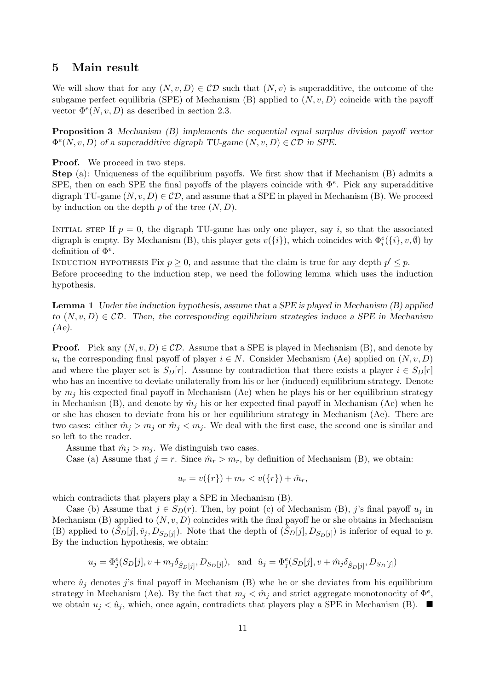# 5 Main result

We will show that for any  $(N, v, D) \in CD$  such that  $(N, v)$  is superadditive, the outcome of the subgame perfect equilibria (SPE) of Mechanism (B) applied to  $(N, v, D)$  coincide with the payoff vector  $\Phi^e(N, v, D)$  as described in section 2.3.

Proposition 3 Mechanism (B) implements the sequential equal surplus division payoff vector  $\Phi^e(N, v, D)$  of a superadditive digraph TU-game  $(N, v, D) \in CD$  in SPE.

**Proof.** We proceed in two steps.

Step (a): Uniqueness of the equilibrium payoffs. We first show that if Mechanism (B) admits a SPE, then on each SPE the final payoffs of the players coincide with  $\Phi^e$ . Pick any superadditive digraph TU-game  $(N, v, D) \in CD$ , and assume that a SPE in played in Mechanism (B). We proceed by induction on the depth  $p$  of the tree  $(N, D)$ .

INITIAL STEP If  $p = 0$ , the digraph TU-game has only one player, say i, so that the associated digraph is empty. By Mechanism (B), this player gets  $v({i})$ , which coincides with  $\Phi_i^e({i}, v, \emptyset)$  by definition of  $\Phi^e$ .

INDUCTION HYPOTHESIS Fix  $p \ge 0$ , and assume that the claim is true for any depth  $p' \le p$ . Before proceeding to the induction step, we need the following lemma which uses the induction hypothesis.

**Lemma 1** Under the induction hypothesis, assume that a SPE is played in Mechanism  $(B)$  applied to  $(N, v, D) \in CD$ . Then, the corresponding equilibrium strategies induce a SPE in Mechanism (Ae).

**Proof.** Pick any  $(N, v, D) \in CD$ . Assume that a SPE is played in Mechanism (B), and denote by  $u_i$  the corresponding final payoff of player  $i \in N$ . Consider Mechanism (Ae) applied on  $(N, v, D)$ and where the player set is  $S_D[r]$ . Assume by contradiction that there exists a player  $i \in S_D[r]$ who has an incentive to deviate unilaterally from his or her (induced) equilibrium strategy. Denote by  $m_i$  his expected final payoff in Mechanism (Ae) when he plays his or her equilibrium strategy in Mechanism (B), and denote by  $\hat{m}_j$  his or her expected final payoff in Mechanism (Ae) when he or she has chosen to deviate from his or her equilibrium strategy in Mechanism (Ae). There are two cases: either  $\hat{m}_j > m_j$  or  $\hat{m}_j < m_j$ . We deal with the first case, the second one is similar and so left to the reader.

Assume that  $\hat{m}_j > m_j$ . We distinguish two cases.

Case (a) Assume that  $j = r$ . Since  $\hat{m}_r > m_r$ , by definition of Mechanism (B), we obtain:

$$
u_r = v({r}) + m_r < v({r}) + \hat{m}_r,
$$

which contradicts that players play a SPE in Mechanism (B).

Case (b) Assume that  $j \in S_D(r)$ . Then, by point (c) of Mechanism (B), j's final payoff  $u_j$  in Mechanism (B) applied to  $(N, v, D)$  coincides with the final payoff he or she obtains in Mechanism (B) applied to  $(\hat{S}_D[j], \tilde{v}_j, D_{S_D[j]})$ . Note that the depth of  $(\hat{S}_D[j], D_{S_D[j]})$  is inferior of equal to p. By the induction hypothesis, we obtain:

$$
u_j = \Phi_j^e(S_D[j], v + m_j \delta_{\hat{S}_D[j]}, D_{S_D[j]}), \text{ and } \hat{u}_j = \Phi_j^e(S_D[j], v + \hat{m}_j \delta_{\hat{S}_D[j]}, D_{S_D[j]})
$$

where  $\hat{u}_j$  denotes j's final payoff in Mechanism (B) whe he or she deviates from his equilibrium strategy in Mechanism (Ae). By the fact that  $m_j < \hat{m}_j$  and strict aggregate monotonocity of  $\Phi^e$ , we obtain  $u_j < \hat{u}_j$ , which, once again, contradicts that players play a SPE in Mechanism (B).  $\blacksquare$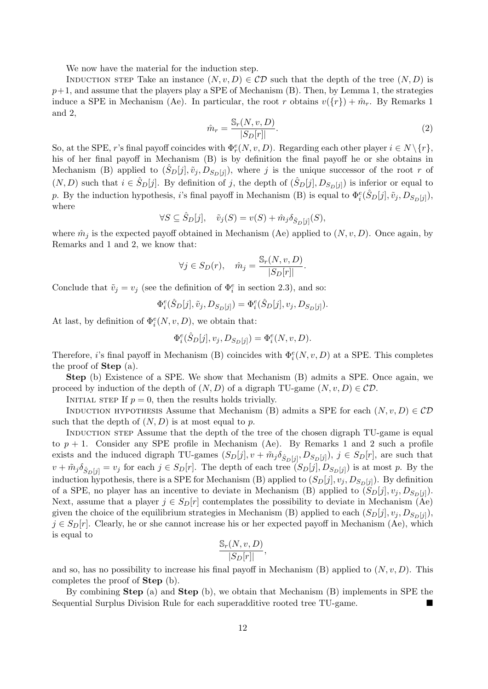We now have the material for the induction step.

INDUCTION STEP Take an instance  $(N, v, D) \in CD$  such that the depth of the tree  $(N, D)$  is  $p+1$ , and assume that the players play a SPE of Mechanism (B). Then, by Lemma 1, the strategies induce a SPE in Mechanism (Ae). In particular, the root r obtains  $v({r}) + \hat{m}_r$ . By Remarks 1 and 2,

$$
\hat{m}_r = \frac{\mathbb{S}_r(N, v, D)}{|S_D[r]|}.\tag{2}
$$

So, at the SPE, r's final payoff coincides with  $\Phi_r^e(N, v, D)$ . Regarding each other player  $i \in N \setminus \{r\}$ , his of her final payoff in Mechanism (B) is by definition the final payoff he or she obtains in Mechanism (B) applied to  $(\hat{S}_D[j], \tilde{v}_j, D_{S_D[j]})$ , where j is the unique successor of the root r of  $(N, D)$  such that  $i \in \hat{S}_D[j]$ . By definition of j, the depth of  $(\hat{S}_D[j], D_{S_D[j]})$  is inferior or equal to p. By the induction hypothesis, *i*'s final payoff in Mechanism (B) is equal to  $\Phi_i^e(\hat{S}_D[j], \tilde{v}_j, D_{S_D[j]})$ , where

$$
\forall S \subseteq \hat{S}_D[j], \quad \tilde{v}_j(S) = v(S) + \hat{m}_j \delta_{\hat{S}_D[j]}(S),
$$

where  $\hat{m}_j$  is the expected payoff obtained in Mechanism (Ae) applied to  $(N, v, D)$ . Once again, by Remarks and 1 and 2, we know that:

$$
\forall j \in S_D(r), \quad \hat{m}_j = \frac{\mathbb{S}_r(N, v, D)}{|S_D[r]|}.
$$

Conclude that  $\tilde{v}_j = v_j$  (see the definition of  $\Phi_i^e$  in section 2.3), and so:

$$
\Phi_i^e(\hat{S}_D[j], \tilde{v}_j, D_{S_D[j]}) = \Phi_i^e(\hat{S}_D[j], v_j, D_{S_D[j]}).
$$

At last, by definition of  $\Phi_i^e(N, v, D)$ , we obtain that:

$$
\Phi_i^e(\hat{S}_D[j], v_j, D_{S_D[j]}) = \Phi_i^e(N, v, D).
$$

Therefore, *i*'s final payoff in Mechanism (B) coincides with  $\Phi_i^e(N, v, D)$  at a SPE. This completes the proof of Step (a).

Step (b) Existence of a SPE. We show that Mechanism (B) admits a SPE. Once again, we proceed by induction of the depth of  $(N, D)$  of a digraph TU-game  $(N, v, D) \in CD$ .

INITIAL STEP If  $p = 0$ , then the results holds trivially.

INDUCTION HYPOTHESIS Assume that Mechanism (B) admits a SPE for each  $(N, v, D) \in CD$ such that the depth of  $(N, D)$  is at most equal to p.

INDUCTION STEP Assume that the depth of the tree of the chosen digraph TU-game is equal to  $p + 1$ . Consider any SPE profile in Mechanism (Ae). By Remarks 1 and 2 such a profile exists and the induced digraph TU-games  $(S_D[j], v + \tilde{m}_j \delta_{\hat{S}_D[j]}, D_{S_D[j]})$ ,  $j \in S_D[r]$ , are such that  $v + \tilde{m}_j \delta_{\hat{S}_D[j]} = v_j$  for each  $j \in S_D[r]$ . The depth of each tree  $(S_D[j], D_{S_D[j]})$  is at most p. By the induction hypothesis, there is a SPE for Mechanism (B) applied to  $(S_D[j], v_j, D_{S_D[j]})$ . By definition of a SPE, no player has an incentive to deviate in Mechanism (B) applied to  $(S_D[j], v_j, D_{S_D[j]})$ . Next, assume that a player  $j \in S_D[r]$  contemplates the possibility to deviate in Mechanism (Ae) given the choice of the equilibrium strategies in Mechanism (B) applied to each  $(S_D[j], v_j, D_{S_D[j]}),$  $j \in S<sub>D</sub>[r]$ . Clearly, he or she cannot increase his or her expected payoff in Mechanism (Ae), which is equal to

$$
\frac{\mathbb{S}_r(N, v, D)}{|S_D[r]|},
$$

and so, has no possibility to increase his final payoff in Mechanism  $(B)$  applied to  $(N, v, D)$ . This completes the proof of Step (b).

By combining Step (a) and Step (b), we obtain that Mechanism (B) implements in SPE the Sequential Surplus Division Rule for each superadditive rooted tree TU-game.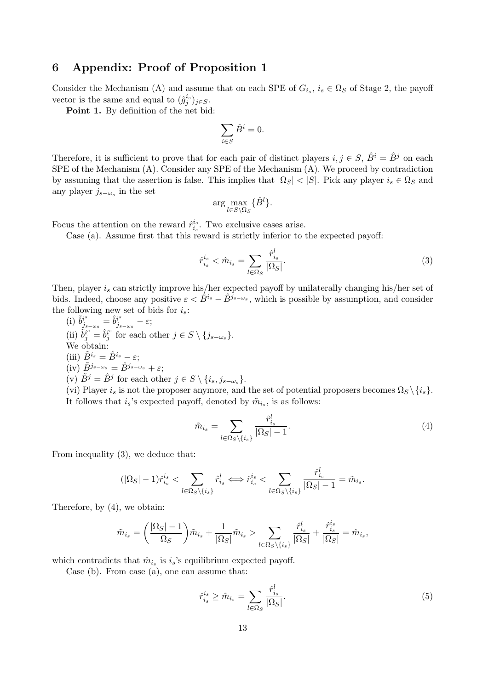# 6 Appendix: Proof of Proposition 1

Consider the Mechanism (A) and assume that on each SPE of  $G_{i_s}$ ,  $i_s \in \Omega_S$  of Stage 2, the payoff vector is the same and equal to  $(\hat{g}_j^{i_s})_{j \in S}$ .

Point 1. By definition of the net bid:

$$
\sum_{i \in S} \hat{B}^i = 0.
$$

Therefore, it is sufficient to prove that for each pair of distinct players  $i, j \in S$ ,  $\hat{B}^i = \hat{B}^j$  on each SPE of the Mechanism (A). Consider any SPE of the Mechanism (A). We proceed by contradiction by assuming that the assertion is false. This implies that  $|\Omega_S| < |S|$ . Pick any player  $i_s \in \Omega_S$  and any player  $j_{s-\omega_s}$  in the set

$$
\arg\max_{l\in S\setminus\Omega_S}\{\hat{B}^l\}.
$$

Focus the attention on the reward  $\hat{r}_{i_s}^{i_s}$  $i_s^{i_s}$ . Two exclusive cases arise.

Case (a). Assume first that this reward is strictly inferior to the expected payoff:

$$
\hat{r}_{i_s}^{i_s} < \hat{m}_{i_s} = \sum_{l \in \Omega_S} \frac{\hat{r}_{i_s}^l}{|\Omega_S|}.\tag{3}
$$

Then, player  $i_s$  can strictly improve his/her expected payoff by unilaterally changing his/her set of bids. Indeed, choose any positive  $\varepsilon < \hat{B}^{i_s} - \hat{B}^{j_{s-\omega_s}}$ , which is possible by assumption, and consider the following new set of bids for  $i_s$ :

(i)  $\tilde{b}^{i^s}_{i_s}$  $\frac{i^{s}}{j_{s-\omega s}}=\hat{b}^{i^{s}}_{j_{s}}$  $\int_{j_{s-\omega_s}}^{i^s} -\varepsilon;$ (ii)  $\tilde{b}_j^{i^s} = \hat{b}_j^{i^s}$  $j_j^{i^s}$  for each other  $j \in S \setminus \{j_{s-\omega_s}\}.$ We obtain: (iii)  $\tilde{B}^{i_s} = \hat{B}^{i_s} - \varepsilon$ ; (iv)  $\tilde{B}^{j_{s-\omega_s}} = \hat{B}^{j_{s-\omega_s}} + \varepsilon;$ (v)  $\tilde{B}^j = \hat{B}^j$  for each other  $j \in S \setminus \{i_s, j_{s-\omega_s}\}.$ (vi) Player  $i_s$  is not the proposer anymore, and the set of potential proposers becomes  $\Omega_S \setminus \{i_s\}.$ It follows that  $i_s$ 's expected payoff, denoted by  $\tilde{m}_{i_s}$ , is as follows:

$$
\tilde{m}_{i_s} = \sum_{l \in \Omega_S \setminus \{i_s\}} \frac{\hat{r}_{i_s}^l}{|\Omega_S| - 1}.
$$
\n(4)

From inequality (3), we deduce that:

$$
(|\Omega_S|-1)\hat{r}_{i_s}^{i_s} < \sum_{l \in \Omega_S \setminus \{i_s\}} \hat{r}_{i_s}^l \iff \hat{r}_{i_s}^{i_s} < \sum_{l \in \Omega_S \setminus \{i_s\}} \frac{\hat{r}_{i_s}^l}{|\Omega_S|-1} = \tilde{m}_{i_s}.
$$

Therefore, by (4), we obtain:

$$
\tilde{m}_{i_s} = \left(\frac{|\Omega_S| - 1}{\Omega_S}\right) \tilde{m}_{i_s} + \frac{1}{|\Omega_S|} \tilde{m}_{i_s} > \sum_{l \in \Omega_S \setminus \{i_s\}} \frac{\hat{r}_{i_s}^l}{|\Omega_S|} + \frac{\hat{r}_{i_s}^{i_s}}{|\Omega_S|} = \hat{m}_{i_s},
$$

which contradicts that  $\hat{m}_{i_s}$  is  $i_s$ 's equilibrium expected payoff.

Case (b). From case (a), one can assume that:

$$
\hat{r}_{i_s}^{i_s} \ge \hat{m}_{i_s} = \sum_{l \in \Omega_S} \frac{\hat{r}_{i_s}^l}{|\Omega_S|}.
$$
\n
$$
(5)
$$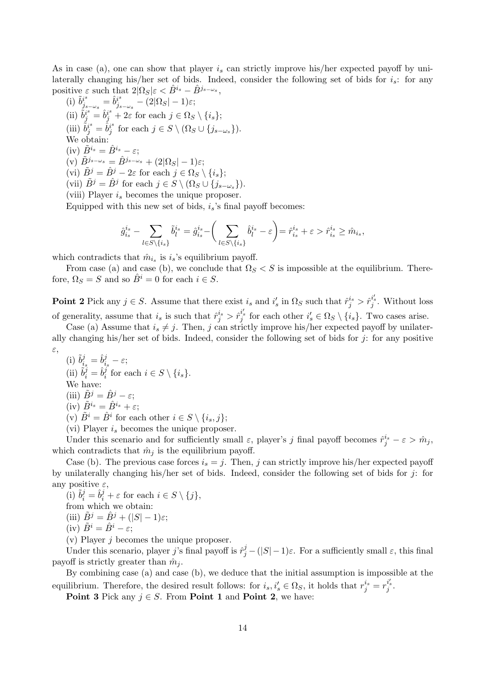As in case (a), one can show that player  $i_s$  can strictly improve his/her expected payoff by unilaterally changing his/her set of bids. Indeed, consider the following set of bids for  $i_s$ : for any positive  $\varepsilon$  such that  $2|\Omega_S|\varepsilon < \hat{B}^{i_s} - \hat{B}^{j_{s-\omega_s}},$ 

(i)  $\tilde{b}^{i^s}_{i^s}$  $i^s_{j_s-\omega_s}=\hat{b}^{i^s}_{j_s}$  $j_{s-\omega_s}^{\nu^s}-(2|\Omega_S|-1)\varepsilon;$ (ii)  $\tilde{b}_j^{i^s} = \hat{b}_j^{i^s} + 2\varepsilon$  for each  $j \in \Omega_S \setminus \{i_s\};$ (iii)  $\tilde{b}^{i^s}_j = \hat{b}^{i^s}_j$  $j_j^s$  for each  $j \in S \setminus (\Omega_S \cup \{j_{s-\omega_s}\}).$ We obtain: (iv)  $\tilde{B}^{i_s} = \hat{B}^{i_s} - \varepsilon$ ;  $(v) \tilde{B}^{j_{s-\omega_{s}}} = \hat{B}^{j_{s-\omega_{s}}} + (2|\Omega_{S}|-1)\varepsilon;$ (vi)  $\tilde{B}^j = \hat{B}^j - 2\varepsilon$  for each  $j \in \Omega_S \setminus \{i_s\};$ (vii)  $\tilde{B}^j = \hat{B}^j$  for each  $j \in S \setminus (\Omega_S \cup \{j_{s-\omega_s}\}).$ (viii) Player  $i_s$  becomes the unique proposer.

Equipped with this new set of bids,  $i_s$ 's final payoff becomes:

$$
\hat{g}_{i_s}^{i_s} - \sum_{l \in S \backslash \{i_s\}} \tilde{b}_l^{i_s} = \hat{g}_{i_s}^{i_s} - \bigg(\sum_{l \in S \backslash \{i_s\}} \hat{b}_l^{i_s} - \varepsilon\bigg) {= \hat{r}_{i_s}^{i_s} + \varepsilon > \hat{r}_{i_s}^{i_s} \geq \hat{m}_{i_s},}
$$

which contradicts that  $\hat{m}_{i_s}$  is  $i_s$ 's equilibrium payoff.

From case (a) and case (b), we conclude that  $\Omega_S < S$  is impossible at the equilibrium. Therefore,  $\Omega_S = S$  and so  $\hat{B}^i = 0$  for each  $i \in S$ .

**Point 2** Pick any  $j \in S$ . Assume that there exist  $i_s$  and  $i'_s$  in  $\Omega_S$  such that  $\hat{r}^{i_s}_{j} > \hat{r}^{i'_s}_{j}$ . Without loss of generality, assume that  $i_s$  is such that  $\hat{r}_j^{i_s} > \hat{r}_j^{i'_s}$  for each other  $i'_s \in \Omega_S \setminus \{i_s\}$ . Two cases arise.

Case (a) Assume that  $i_s \neq j$ . Then, j can strictly improve his/her expected payoff by unilaterally changing his/her set of bids. Indeed, consider the following set of bids for  $j$ : for any positive ε,

(i)  $\tilde{b}_i^j$  $\hat{b}^j_i = \hat{b}^j_i$  $\frac{j}{i_s}-\varepsilon;$ (ii)  $\tilde{b}_i^j = \hat{b}_i^j$  $i_i^j$  for each  $i \in S \setminus \{i_s\}.$ We have: (iii)  $\tilde{B}^j = \hat{B}^j - \varepsilon;$ (iv)  $\tilde{B}^{i_s} = \hat{B}^{i_s} + \varepsilon$ ; (v)  $\tilde{B}^i = \hat{B}^i$  for each other  $i \in S \setminus \{i_s, j\};$ (vi) Player  $i_s$  becomes the unique proposer.

Under this scenario and for sufficiently small  $\varepsilon$ , player's j final payoff becomes  $\hat{r}_j^{i_s} - \varepsilon > \hat{m}_j$ , which contradicts that  $\hat{m}_j$  is the equilibrium payoff.

Case (b). The previous case forces  $i_s = j$ . Then, j can strictly improve his/her expected payoff by unilaterally changing his/her set of bids. Indeed, consider the following set of bids for  $j$ : for any positive  $\varepsilon$ ,

(i)  $\tilde{b}_i^j = \hat{b}_i^j + \varepsilon$  for each  $i \in S \setminus \{j\},\$ from which we obtain:

(iii)  $\tilde{B}^j = \hat{B}^j + (|S| - 1)\varepsilon$ ;

(iv)  $\tilde{B}^i = \hat{B}^i - \varepsilon$ ;

 $(v)$  Player *j* becomes the unique proposer.

Under this scenario, player j's final payoff is  $\hat{r}_j^j - (|S| - 1)\varepsilon$ . For a sufficiently small  $\varepsilon$ , this final payoff is strictly greater than  $\hat{m}_i$ .

By combining case (a) and case (b), we deduce that the initial assumption is impossible at the equilibrium. Therefore, the desired result follows: for  $i_s, i'_s \in \Omega_S$ , it holds that  $r_j^{i_s} = r_j^{i'_s}$ .

**Point 3** Pick any  $j \in S$ . From **Point 1** and **Point 2**, we have: